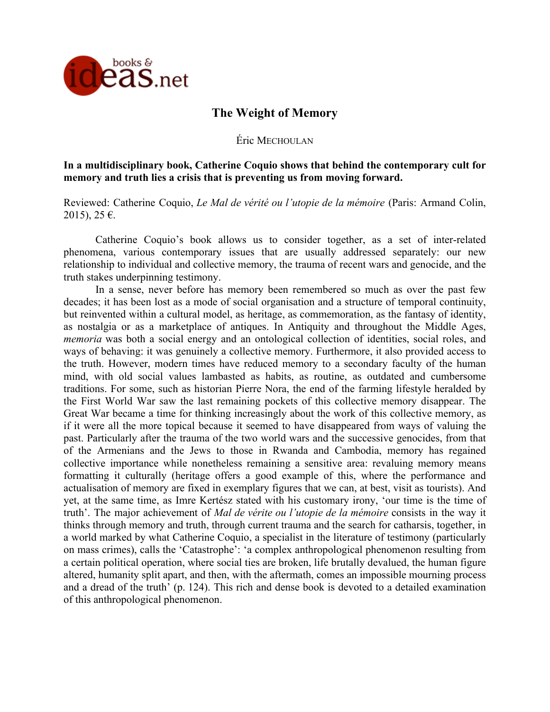

# **The Weight of Memory**

Éric MECHOULAN

**In a multidisciplinary book, Catherine Coquio shows that behind the contemporary cult for memory and truth lies a crisis that is preventing us from moving forward.**

Reviewed: Catherine Coquio, *Le Mal de vérité ou l'utopie de la mémoire* (Paris: Armand Colin, 2015), 25 €.

Catherine Coquio's book allows us to consider together, as a set of inter-related phenomena, various contemporary issues that are usually addressed separately: our new relationship to individual and collective memory, the trauma of recent wars and genocide, and the truth stakes underpinning testimony.

In a sense, never before has memory been remembered so much as over the past few decades; it has been lost as a mode of social organisation and a structure of temporal continuity, but reinvented within a cultural model, as heritage, as commemoration, as the fantasy of identity, as nostalgia or as a marketplace of antiques. In Antiquity and throughout the Middle Ages, *memoria* was both a social energy and an ontological collection of identities, social roles, and ways of behaving: it was genuinely a collective memory. Furthermore, it also provided access to the truth. However, modern times have reduced memory to a secondary faculty of the human mind, with old social values lambasted as habits, as routine, as outdated and cumbersome traditions. For some, such as historian Pierre Nora, the end of the farming lifestyle heralded by the First World War saw the last remaining pockets of this collective memory disappear. The Great War became a time for thinking increasingly about the work of this collective memory, as if it were all the more topical because it seemed to have disappeared from ways of valuing the past. Particularly after the trauma of the two world wars and the successive genocides, from that of the Armenians and the Jews to those in Rwanda and Cambodia, memory has regained collective importance while nonetheless remaining a sensitive area: revaluing memory means formatting it culturally (heritage offers a good example of this, where the performance and actualisation of memory are fixed in exemplary figures that we can, at best, visit as tourists). And yet, at the same time, as Imre Kertész stated with his customary irony, 'our time is the time of truth'. The major achievement of *Mal de vérite ou l'utopie de la mémoire* consists in the way it thinks through memory and truth, through current trauma and the search for catharsis, together, in a world marked by what Catherine Coquio, a specialist in the literature of testimony (particularly on mass crimes), calls the 'Catastrophe': 'a complex anthropological phenomenon resulting from a certain political operation, where social ties are broken, life brutally devalued, the human figure altered, humanity split apart, and then, with the aftermath, comes an impossible mourning process and a dread of the truth' (p. 124). This rich and dense book is devoted to a detailed examination of this anthropological phenomenon.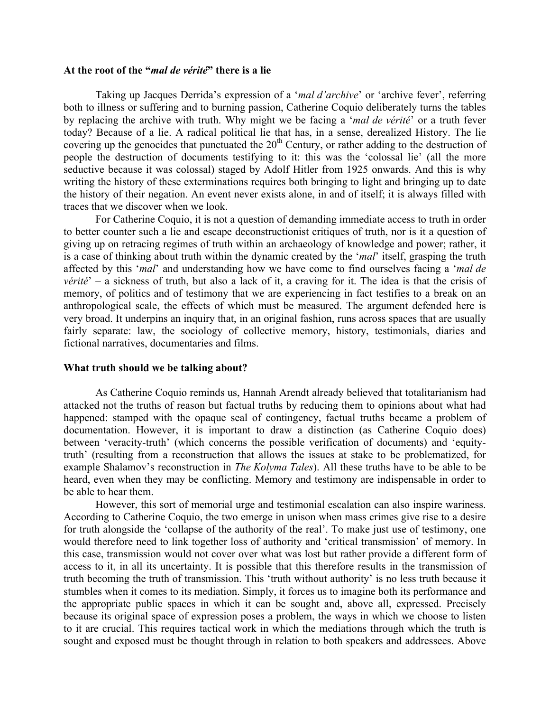### **At the root of the "***mal de vérité***" there is a lie**

Taking up Jacques Derrida's expression of a '*mal d'archive*' or 'archive fever', referring both to illness or suffering and to burning passion, Catherine Coquio deliberately turns the tables by replacing the archive with truth. Why might we be facing a '*mal de vérité*' or a truth fever today? Because of a lie. A radical political lie that has, in a sense, derealized History. The lie covering up the genocides that punctuated the  $20<sup>th</sup>$  Century, or rather adding to the destruction of people the destruction of documents testifying to it: this was the 'colossal lie' (all the more seductive because it was colossal) staged by Adolf Hitler from 1925 onwards. And this is why writing the history of these exterminations requires both bringing to light and bringing up to date the history of their negation. An event never exists alone, in and of itself; it is always filled with traces that we discover when we look.

For Catherine Coquio, it is not a question of demanding immediate access to truth in order to better counter such a lie and escape deconstructionist critiques of truth, nor is it a question of giving up on retracing regimes of truth within an archaeology of knowledge and power; rather, it is a case of thinking about truth within the dynamic created by the '*mal*' itself, grasping the truth affected by this '*mal*' and understanding how we have come to find ourselves facing a '*mal de vérité*' – a sickness of truth, but also a lack of it, a craving for it. The idea is that the crisis of memory, of politics and of testimony that we are experiencing in fact testifies to a break on an anthropological scale, the effects of which must be measured. The argument defended here is very broad. It underpins an inquiry that, in an original fashion, runs across spaces that are usually fairly separate: law, the sociology of collective memory, history, testimonials, diaries and fictional narratives, documentaries and films.

#### **What truth should we be talking about?**

As Catherine Coquio reminds us, Hannah Arendt already believed that totalitarianism had attacked not the truths of reason but factual truths by reducing them to opinions about what had happened: stamped with the opaque seal of contingency, factual truths became a problem of documentation. However, it is important to draw a distinction (as Catherine Coquio does) between 'veracity-truth' (which concerns the possible verification of documents) and 'equitytruth' (resulting from a reconstruction that allows the issues at stake to be problematized, for example Shalamov's reconstruction in *The Kolyma Tales*). All these truths have to be able to be heard, even when they may be conflicting. Memory and testimony are indispensable in order to be able to hear them.

However, this sort of memorial urge and testimonial escalation can also inspire wariness. According to Catherine Coquio, the two emerge in unison when mass crimes give rise to a desire for truth alongside the 'collapse of the authority of the real'. To make just use of testimony, one would therefore need to link together loss of authority and 'critical transmission' of memory. In this case, transmission would not cover over what was lost but rather provide a different form of access to it, in all its uncertainty. It is possible that this therefore results in the transmission of truth becoming the truth of transmission. This 'truth without authority' is no less truth because it stumbles when it comes to its mediation. Simply, it forces us to imagine both its performance and the appropriate public spaces in which it can be sought and, above all, expressed. Precisely because its original space of expression poses a problem, the ways in which we choose to listen to it are crucial. This requires tactical work in which the mediations through which the truth is sought and exposed must be thought through in relation to both speakers and addressees. Above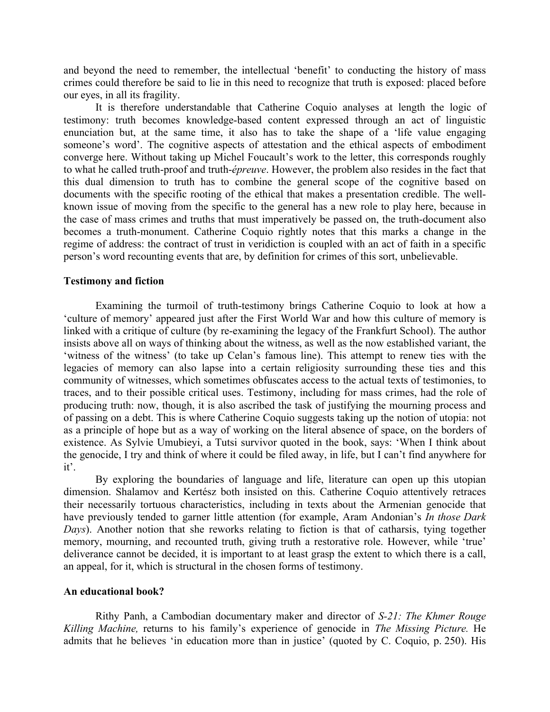and beyond the need to remember, the intellectual 'benefit' to conducting the history of mass crimes could therefore be said to lie in this need to recognize that truth is exposed: placed before our eyes, in all its fragility.

It is therefore understandable that Catherine Coquio analyses at length the logic of testimony: truth becomes knowledge-based content expressed through an act of linguistic enunciation but, at the same time, it also has to take the shape of a 'life value engaging someone's word'. The cognitive aspects of attestation and the ethical aspects of embodiment converge here. Without taking up Michel Foucault's work to the letter, this corresponds roughly to what he called truth-proof and truth-*épreuve*. However, the problem also resides in the fact that this dual dimension to truth has to combine the general scope of the cognitive based on documents with the specific rooting of the ethical that makes a presentation credible. The wellknown issue of moving from the specific to the general has a new role to play here, because in the case of mass crimes and truths that must imperatively be passed on, the truth-document also becomes a truth-monument. Catherine Coquio rightly notes that this marks a change in the regime of address: the contract of trust in veridiction is coupled with an act of faith in a specific person's word recounting events that are, by definition for crimes of this sort, unbelievable.

# **Testimony and fiction**

Examining the turmoil of truth-testimony brings Catherine Coquio to look at how a 'culture of memory' appeared just after the First World War and how this culture of memory is linked with a critique of culture (by re-examining the legacy of the Frankfurt School). The author insists above all on ways of thinking about the witness, as well as the now established variant, the 'witness of the witness' (to take up Celan's famous line). This attempt to renew ties with the legacies of memory can also lapse into a certain religiosity surrounding these ties and this community of witnesses, which sometimes obfuscates access to the actual texts of testimonies, to traces, and to their possible critical uses. Testimony, including for mass crimes, had the role of producing truth: now, though, it is also ascribed the task of justifying the mourning process and of passing on a debt. This is where Catherine Coquio suggests taking up the notion of utopia: not as a principle of hope but as a way of working on the literal absence of space, on the borders of existence. As Sylvie Umubieyi, a Tutsi survivor quoted in the book, says: 'When I think about the genocide, I try and think of where it could be filed away, in life, but I can't find anywhere for it'.

By exploring the boundaries of language and life, literature can open up this utopian dimension. Shalamov and Kertész both insisted on this. Catherine Coquio attentively retraces their necessarily tortuous characteristics, including in texts about the Armenian genocide that have previously tended to garner little attention (for example, Aram Andonian's *In those Dark Days*). Another notion that she reworks relating to fiction is that of catharsis, tying together memory, mourning, and recounted truth, giving truth a restorative role. However, while 'true' deliverance cannot be decided, it is important to at least grasp the extent to which there is a call, an appeal, for it, which is structural in the chosen forms of testimony.

# **An educational book?**

Rithy Panh, a Cambodian documentary maker and director of *S-21: The Khmer Rouge Killing Machine,* returns to his family's experience of genocide in *The Missing Picture.* He admits that he believes 'in education more than in justice' (quoted by C. Coquio, p. 250). His